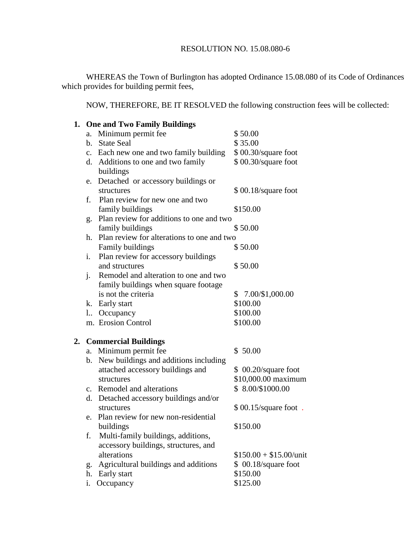WHEREAS the Town of Burlington has adopted Ordinance 15.08.080 of its Code of Ordinances which provides for building permit fees,

NOW, THEREFORE, BE IT RESOLVED the following construction fees will be collected:

|                | 1. One and Two Family Buildings             |                          |  |  |  |  |
|----------------|---------------------------------------------|--------------------------|--|--|--|--|
| a.             | Minimum permit fee                          | \$50.00                  |  |  |  |  |
| b.             | <b>State Seal</b>                           | \$35.00                  |  |  |  |  |
|                | c. Each new one and two family building     | \$00.30/square foot      |  |  |  |  |
|                | d. Additions to one and two family          | \$00.30/square foot      |  |  |  |  |
|                | buildings                                   |                          |  |  |  |  |
| e.             | Detached or accessory buildings or          |                          |  |  |  |  |
|                | structures                                  | \$00.18/square foot      |  |  |  |  |
| f.             | Plan review for new one and two             |                          |  |  |  |  |
|                | family buildings                            | \$150.00                 |  |  |  |  |
|                | g. Plan review for additions to one and two |                          |  |  |  |  |
|                | family buildings                            | \$50.00                  |  |  |  |  |
| h.             | Plan review for alterations to one and two  |                          |  |  |  |  |
|                | Family buildings                            | \$50.00                  |  |  |  |  |
| i.             | Plan review for accessory buildings         |                          |  |  |  |  |
|                | and structures                              | \$50.00                  |  |  |  |  |
| $\mathbf{i}$ . | Remodel and alteration to one and two       |                          |  |  |  |  |
|                | family buildings when square footage        |                          |  |  |  |  |
|                | is not the criteria                         | $$7.00/\$1,000.00$       |  |  |  |  |
|                | k. Early start                              | \$100.00                 |  |  |  |  |
|                | l. Occupancy                                | \$100.00                 |  |  |  |  |
|                | m. Erosion Control                          | \$100.00                 |  |  |  |  |
|                |                                             |                          |  |  |  |  |
|                | 2. Commercial Buildings                     |                          |  |  |  |  |
| a.             | Minimum permit fee                          | \$50.00                  |  |  |  |  |
| b.             | New buildings and additions including       |                          |  |  |  |  |
|                | attached accessory buildings and            | \$ 00.20/square foot     |  |  |  |  |
|                | structures                                  | \$10,000.00 maximum      |  |  |  |  |
|                | c. Remodel and alterations                  | $$8.00/\$1000.00$        |  |  |  |  |
|                | d. Detached accessory buildings and/or      |                          |  |  |  |  |
|                | structures                                  | $$00.15$ /square foot.   |  |  |  |  |
| e.             | Plan review for new non-residential         |                          |  |  |  |  |
|                | buildings                                   | \$150.00                 |  |  |  |  |
| f.             | Multi-family buildings, additions,          |                          |  |  |  |  |
|                | accessory buildings, structures, and        |                          |  |  |  |  |
|                | alterations                                 | $$150.00 + $15.00/$ unit |  |  |  |  |
| g.             | Agricultural buildings and additions        | \$ 00.18/square foot     |  |  |  |  |
| h.             | Early start                                 | \$150.00                 |  |  |  |  |
| i.             | Occupancy                                   | \$125.00                 |  |  |  |  |
|                |                                             |                          |  |  |  |  |